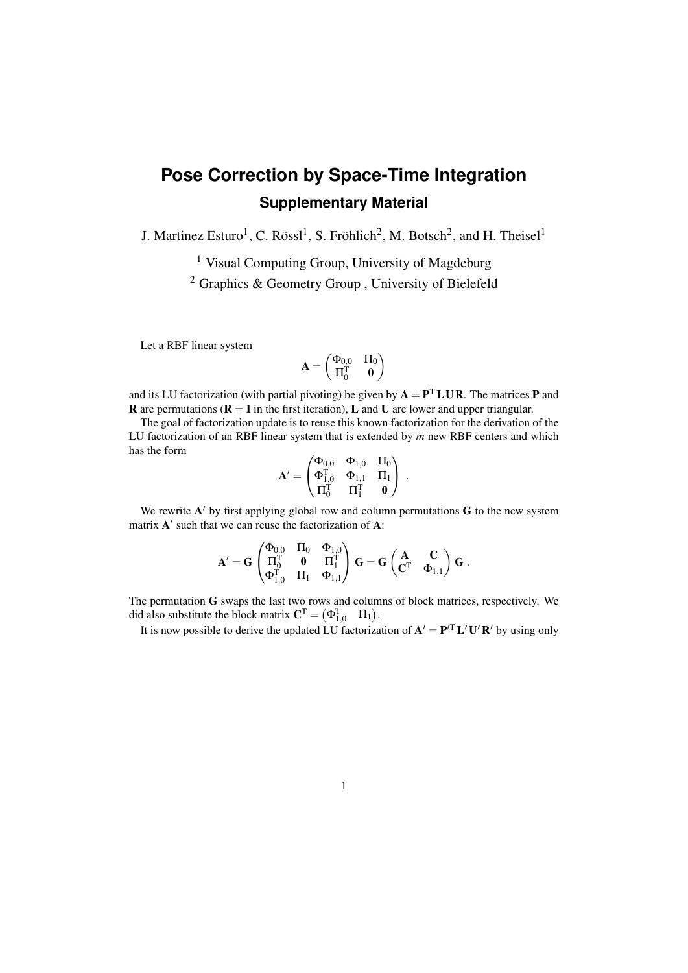## **Pose Correction by Space-Time Integration Supplementary Material**

J. Martinez Esturo<sup>1</sup>, C. Rössl<sup>1</sup>, S. Fröhlich<sup>2</sup>, M. Botsch<sup>2</sup>, and H. Theisel<sup>1</sup>

<sup>1</sup> Visual Computing Group, University of Magdeburg

<sup>2</sup> Graphics & Geometry Group , University of Bielefeld

Let a RBF linear system

$$
\mathbf{A} = \begin{pmatrix} \Phi_{0,0} & \Pi_0 \\ \Pi_0^T & \mathbf{0} \end{pmatrix}
$$

and its LU factorization (with partial pivoting) be given by  $A = P<sup>T</sup> L U R$ . The matrices P and **R** are permutations ( $\mathbf{R} = \mathbf{I}$  in the first iteration), **L** and **U** are lower and upper triangular.

The goal of factorization update is to reuse this known factorization for the derivation of the LU factorization of an RBF linear system that is extended by *m* new RBF centers and which has the form

$$
\mathbf{A}' = \begin{pmatrix} \Phi_{0,0} & \Phi_{1,0} & \Pi_0 \\ \Phi_{1,0}^T & \Phi_{1,1} & \Pi_1 \\ \Pi_0^T & \Pi_1^T & \mathbf{0} \end{pmatrix} \; .
$$

We rewrite  $A'$  by first applying global row and column permutations  $G$  to the new system matrix  $A'$  such that we can reuse the factorization of  $A$ :

$$
\mathbf{A}'=\mathbf{G}\begin{pmatrix}\Phi_{0,0} & \Pi_0 & \Phi_{1,0} \\ \Pi_0^T & \mathbf{0} & \Pi_1^T \\ \Phi_{1,0}^T & \Pi_1 & \Phi_{1,1}\end{pmatrix}\mathbf{G}=\mathbf{G}\begin{pmatrix}\mathbf{A} & \mathbf{C} \\ \mathbf{C}^T & \Phi_{1,1}\end{pmatrix}\mathbf{G}\ .
$$

The permutation G swaps the last two rows and columns of block matrices, respectively. We did also substitute the block matrix  $\mathbf{C}^{\mathrm{T}} = (\mathbf{\Phi}_{1,0}^{\mathrm{T}} \quad \Pi_1).$ 

It is now possible to derive the updated LU factorization of  $A' = P^T L' U' R'$  by using only